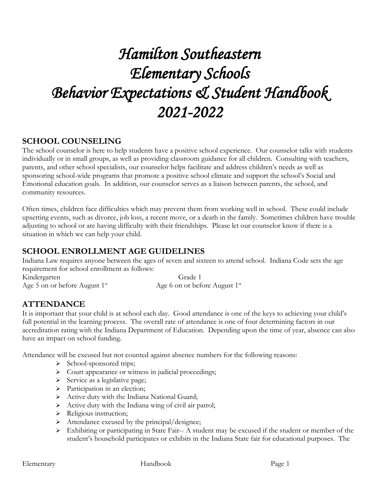# *Hamilton Southeastern Elementary Schools Behavior Expectations & Student Handbook 2021-2022*

### **SCHOOL COUNSELING**

The school counselor is here to help students have a positive school experience. Our counselor talks with students individually or in small groups, as well as providing classroom guidance for all children. Consulting with teachers, parents, and other school specialists, our counselor helps facilitate and address children's needs as well as sponsoring school-wide programs that promote a positive school climate and support the school's Social and Emotional education goals. In addition, our counselor serves as a liaison between parents, the school, and community resources.

Often times, children face difficulties which may prevent them from working well in school. These could include upsetting events, such as divorce, job loss, a recent move, or a death in the family. Sometimes children have trouble adjusting to school or are having difficulty with their friendships. Please let our counselor know if there is a situation in which we can help your child.

# **SCHOOL ENROLLMENT AGE GUIDELINES**

Indiana Law requires anyone between the ages of seven and sixteen to attend school. Indiana Code sets the age requirement for school enrollment as follows: Kindergarten Grade 1

Age 5 on or before August  $1<sup>st</sup>$  Age 6 on or before August  $1<sup>st</sup>$ 

# **ATTENDANCE**

It is important that your child is at school each day. Good attendance is one of the keys to achieving your child's full potential in the learning process. The overall rate of attendance is one of four determining factors in our accreditation rating with the Indiana Department of Education. Depending upon the time of year, absence can also have an impact on school funding.

Attendance will be excused but not counted against absence numbers for the following reasons:

- ➢ School-sponsored trips;
- ➢ Court appearance or witness in judicial proceedings;
- ➢ Service as a legislative page;
- ➢ Participation in an election;
- ➢ Active duty with the Indiana National Guard;
- ➢ Active duty with the Indiana wing of civil air patrol;
- ➢ Religious instruction;
- ➢ Attendance excused by the principal/designee;
- ➢ Exhibiting or participating in State Fair-- A student may be excused if the student or member of the student's household participates or exhibits in the Indiana State fair for educational purposes. The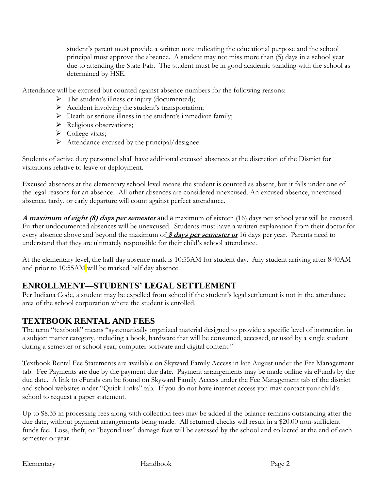student's parent must provide a written note indicating the educational purpose and the school principal must approve the absence. A student may not miss more than (5) days in a school year due to attending the State Fair. The student must be in good academic standing with the school as determined by HSE.

Attendance will be excused but counted against absence numbers for the following reasons:

- $\triangleright$  The student's illness or injury (documented);
- ➢ Accident involving the student's transportation;
- ➢ Death or serious illness in the student's immediate family;
- ➢ Religious observations;
- ➢ College visits;
- $\triangleright$  Attendance excused by the principal/designee

Students of active duty personnel shall have additional excused absences at the discretion of the District for visitations relative to leave or deployment.

Excused absences at the elementary school level means the student is counted as absent, but it falls under one of the legal reasons for an absence. All other absences are considered unexcused. An excused absence, unexcused absence, tardy, or early departure will count against perfect attendance.

**A maximum of eight (8) days per semester** and a maximum of sixteen (16) days per school year will be excused. Further undocumented absences will be unexcused. Students must have a written explanation from their doctor for every absence above and beyond the maximum of **8 days per semester or** 16 days per year. Parents need to understand that they are ultimately responsible for their child's school attendance.

At the elementary level, the half day absence mark is 10:55AM for student day. Any student arriving after 8:40AM and prior to 10:55AM will be marked half day absence.

# **ENROLLMENT—STUDENTS' LEGAL SETTLEMENT**

Per Indiana Code, a student may be expelled from school if the student's legal settlement is not in the attendance area of the school corporation where the student is enrolled.

# **TEXTBOOK RENTAL AND FEES**

The term "textbook" means "systematically organized material designed to provide a specific level of instruction in a subject matter category, including a book, hardware that will be consumed, accessed, or used by a single student during a semester or school year, computer software and digital content."

Textbook Rental Fee Statements are available on Skyward Family Access in late August under the Fee Management tab. Fee Payments are due by the payment due date. Payment arrangements may be made online via eFunds by the due date. A link to eFunds can be found on Skyward Family Access under the Fee Management tab of the district and school websites under "Quick Links" tab. If you do not have internet access you may contact your child's school to request a paper statement.

Up to \$8.35 in processing fees along with collection fees may be added if the balance remains outstanding after the due date, without payment arrangements being made. All returned checks will result in a \$20.00 non-sufficient funds fee. Loss, theft, or "beyond use" damage fees will be assessed by the school and collected at the end of each semester or year.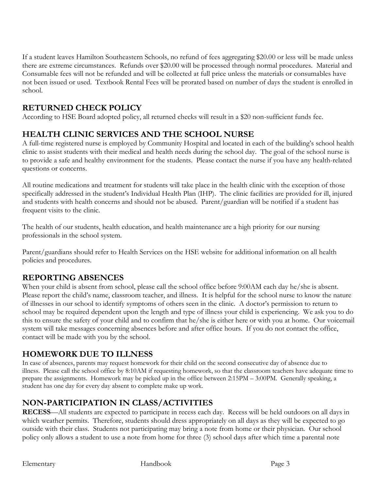If a student leaves Hamilton Southeastern Schools, no refund of fees aggregating \$20.00 or less will be made unless there are extreme circumstances. Refunds over \$20.00 will be processed through normal procedures. Material and Consumable fees will not be refunded and will be collected at full price unless the materials or consumables have not been issued or used. Textbook Rental Fees will be prorated based on number of days the student is enrolled in school.

# **RETURNED CHECK POLICY**

According to HSE Board adopted policy, all returned checks will result in a \$20 non-sufficient funds fee.

### **HEALTH CLINIC SERVICES AND THE SCHOOL NURSE**

A full-time registered nurse is employed by Community Hospital and located in each of the building's school health clinic to assist students with their medical and health needs during the school day. The goal of the school nurse is to provide a safe and healthy environment for the students. Please contact the nurse if you have any health-related questions or concerns.

All routine medications and treatment for students will take place in the health clinic with the exception of those specifically addressed in the student's Individual Health Plan (IHP). The clinic facilities are provided for ill, injured and students with health concerns and should not be abused. Parent/guardian will be notified if a student has frequent visits to the clinic.

The health of our students, health education, and health maintenance are a high priority for our nursing professionals in the school system.

Parent/guardians should refer to Health Services on the HSE website for additional information on all health policies and procedures.

### **REPORTING ABSENCES**

When your child is absent from school, please call the school office before 9:00AM each day he/she is absent. Please report the child's name, classroom teacher, and illness. It is helpful for the school nurse to know the nature of illnesses in our school to identify symptoms of others seen in the clinic. A doctor's permission to return to school may be required dependent upon the length and type of illness your child is experiencing. We ask you to do this to ensure the safety of your child and to confirm that he/she is either here or with you at home. Our voicemail system will take messages concerning absences before and after office hours. If you do not contact the office, contact will be made with you by the school.

### **HOMEWORK DUE TO ILLNESS**

In case of absences, parents may request homework for their child on the second consecutive day of absence due to illness. Please call the school office by 8:10AM if requesting homework, so that the classroom teachers have adequate time to prepare the assignments. Homework may be picked up in the office between 2:15PM – 3:00PM. Generally speaking, a student has one day for every day absent to complete make up work.

### **NON-PARTICIPATION IN CLASS/ACTIVITIES**

**RECESS**—All students are expected to participate in recess each day. Recess will be held outdoors on all days in which weather permits. Therefore, students should dress appropriately on all days as they will be expected to go outside with their class. Students not participating may bring a note from home or their physician. Our school policy only allows a student to use a note from home for three (3) school days after which time a parental note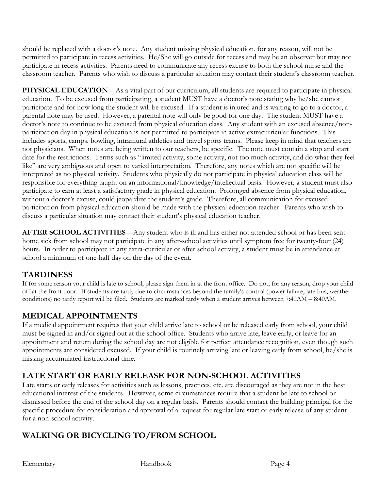should be replaced with a doctor's note. Any student missing physical education, for any reason, will not be permitted to participate in recess activities. He/She will go outside for recess and may be an observer but may not participate in recess activities. Parents need to communicate any recess excuse to both the school nurse and the classroom teacher. Parents who wish to discuss a particular situation may contact their student's classroom teacher.

**PHYSICAL EDUCATION—**As a vital part of our curriculum, all students are required to participate in physical education. To be excused from participating, a student MUST have a doctor's note stating why he/she cannot participate and for how long the student will be excused. If a student is injured and is waiting to go to a doctor, a parental note may be used. However, a parental note will only be good for one day. The student MUST have a doctor's note to continue to be excused from physical education class. Any student with an excused absence/nonparticipation day in physical education is not permitted to participate in active extracurricular functions. This includes sports, camps, bowling, intramural athletics and travel sports teams. Please keep in mind that teachers are not physicians. When notes are being written to our teachers, be specific. The note must contain a stop and start date for the restrictions. Terms such as "limited activity, some activity, not too much activity, and do what they feel like" are very ambiguous and open to varied interpretation. Therefore, any notes which are not specific will be interpreted as no physical activity. Students who physically do not participate in physical education class will be responsible for everything taught on an informational/knowledge/intellectual basis. However, a student must also participate to earn at least a satisfactory grade in physical education. Prolonged absence from physical education, without a doctor's excuse, could jeopardize the student's grade. Therefore, all communication for excused participation from physical education should be made with the physical education teacher. Parents who wish to discuss a particular situation may contact their student's physical education teacher.

**AFTER SCHOOL ACTIVITIES**—Any student who is ill and has either not attended school or has been sent home sick from school may not participate in any after-school activities until symptom free for twenty-four (24) hours. In order to participate in any extra-curricular or after school activity, a student must be in attendance at school a minimum of one-half day on the day of the event.

# **TARDINESS**

If for some reason your child is late to school, please sign them in at the front office. Do not, for any reason, drop your child off at the front door. If students are tardy due to circumstances beyond the family's control (power failure, late bus, weather conditions) no tardy report will be filed. Students are marked tardy when a student arrives between 7:40AM – 8:40AM.

# **MEDICAL APPOINTMENTS**

If a medical appointment requires that your child arrive late to school or be released early from school, your child must be signed in and/or signed out at the school office. Students who arrive late, leave early, or leave for an appointment and return during the school day are not eligible for perfect attendance recognition, even though such appointments are considered excused. If your child is routinely arriving late or leaving early from school, he/she is missing accumulated instructional time.

# **LATE START OR EARLY RELEASE FOR NON-SCHOOL ACTIVITIES**

Late starts or early releases for activities such as lessons, practices, etc. are discouraged as they are not in the best educational interest of the students. However, some circumstances require that a student be late to school or dismissed before the end of the school day on a regular basis. Parents should contact the building principal for the specific procedure for consideration and approval of a request for regular late start or early release of any student for a non-school activity.

# **WALKING OR BICYCLING TO/FROM SCHOOL**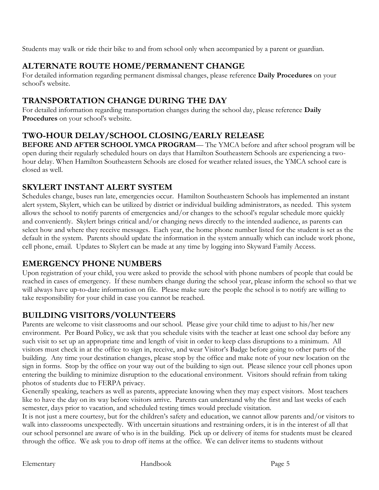Students may walk or ride their bike to and from school only when accompanied by a parent or guardian.

# **ALTERNATE ROUTE HOME/PERMANENT CHANGE**

For detailed information regarding permanent dismissal changes, please reference **Daily Procedures** on your school's website.

# **TRANSPORTATION CHANGE DURING THE DAY**

For detailed information regarding transportation changes during the school day, please reference **Daily Procedures** on your school's website.

# **TWO-HOUR DELAY/SCHOOL CLOSING/EARLY RELEASE**

**BEFORE AND AFTER SCHOOL YMCA PROGRAM**— The YMCA before and after school program will be open during their regularly scheduled hours on days that Hamilton Southeastern Schools are experiencing a twohour delay. When Hamilton Southeastern Schools are closed for weather related issues, the YMCA school care is closed as well.

### **SKYLERT INSTANT ALERT SYSTEM**

Schedules change, buses run late, emergencies occur. Hamilton Southeastern Schools has implemented an instant alert system, Skylert, which can be utilized by district or individual building administrators, as needed. This system allows the school to notify parents of emergencies and/or changes to the school's regular schedule more quickly and conveniently. Skylert brings critical and/or changing news directly to the intended audience, as parents can select how and where they receive messages. Each year, the home phone number listed for the student is set as the default in the system. Parents should update the information in the system annually which can include work phone, cell phone, email. Updates to Skylert can be made at any time by logging into Skyward Family Access.

### **EMERGENCY PHONE NUMBERS**

Upon registration of your child, you were asked to provide the school with phone numbers of people that could be reached in cases of emergency. If these numbers change during the school year, please inform the school so that we will always have up-to-date information on file. Please make sure the people the school is to notify are willing to take responsibility for your child in case you cannot be reached.

# **BUILDING VISITORS/VOLUNTEERS**

Parents are welcome to visit classrooms and our school. Please give your child time to adjust to his/her new environment. Per Board Policy, we ask that you schedule visits with the teacher at least one school day before any such visit to set up an appropriate time and length of visit in order to keep class disruptions to a minimum. All visitors must check in at the office to sign in, receive, and wear Visitor's Badge before going to other parts of the building. Any time your destination changes, please stop by the office and make note of your new location on the sign in forms. Stop by the office on your way out of the building to sign out. Please silence your cell phones upon entering the building to minimize disruption to the educational environment. Visitors should refrain from taking photos of students due to FERPA privacy.

Generally speaking, teachers as well as parents, appreciate knowing when they may expect visitors. Most teachers like to have the day on its way before visitors arrive. Parents can understand why the first and last weeks of each semester, days prior to vacation, and scheduled testing times would preclude visitation.

It is not just a mere courtesy, but for the children's safety and education, we cannot allow parents and/or visitors to walk into classrooms unexpectedly. With uncertain situations and restraining orders, it is in the interest of all that our school personnel are aware of who is in the building. Pick up or delivery of items for students must be cleared through the office. We ask you to drop off items at the office. We can deliver items to students without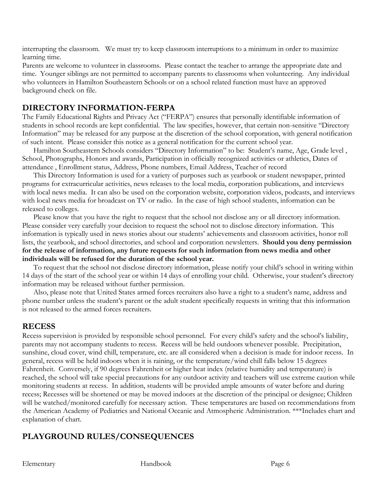interrupting the classroom. We must try to keep classroom interruptions to a minimum in order to maximize learning time.

Parents are welcome to volunteer in classrooms. Please contact the teacher to arrange the appropriate date and time. Younger siblings are not permitted to accompany parents to classrooms when volunteering. Any individual who volunteers in Hamilton Southeastern Schools or on a school related function must have an approved background check on file.

### **DIRECTORY INFORMATION-FERPA**

The Family Educational Rights and Privacy Act ("FERPA") ensures that personally identifiable information of students in school records are kept confidential. The law specifies, however, that certain non-sensitive "Directory Information" may be released for any purpose at the discretion of the school corporation, with general notification of such intent. Please consider this notice as a general notification for the current school year.

Hamilton Southeastern Schools considers "Directory Information" to be: Student's name, Age, Grade level , School, Photographs, Honors and awards, Participation in officially recognized activities or athletics, Dates of attendance , Enrollment status, Address, Phone numbers, Email Address, Teacher of record

This Directory Information is used for a variety of purposes such as yearbook or student newspaper, printed programs for extracurricular activities, news releases to the local media, corporation publications, and interviews with local news media. It can also be used on the corporation website, corporation videos, podcasts, and interviews with local news media for broadcast on TV or radio. In the case of high school students, information can be released to colleges.

Please know that you have the right to request that the school not disclose any or all directory information. Please consider very carefully your decision to request the school not to disclose directory information. This information is typically used in news stories about our students' achievements and classroom activities, honor roll lists, the yearbook, and school directories, and school and corporation newsletters. **Should you deny permission for the release of information, any future requests for such information from news media and other individuals will be refused for the duration of the school year.**

To request that the school not disclose directory information, please notify your child's school in writing within 14 days of the start of the school year or within 14 days of enrolling your child. Otherwise, your student's directory information may be released without further permission.

Also, please note that United States armed forces recruiters also have a right to a student's name, address and phone number unless the student's parent or the adult student specifically requests in writing that this information is not released to the armed forces recruiters.

### **RECESS**

Recess supervision is provided by responsible school personnel. For every child's safety and the school's liability, parents may not accompany students to recess. Recess will be held outdoors whenever possible. Precipitation, sunshine, cloud cover, wind chill, temperature, etc. are all considered when a decision is made for indoor recess. In general, recess will be held indoors when it is raining, or the temperature/wind chill falls below 15 degrees Fahrenheit. Conversely, if 90 degrees Fahrenheit or higher heat index (relative humidity and temperature) is reached, the school will take special precautions for any outdoor activity and teachers will use extreme caution while monitoring students at recess. In addition, students will be provided ample amounts of water before and during recess; Recesses will be shortened or may be moved indoors at the discretion of the principal or designee; Children will be watched/monitored carefully for necessary action. These temperatures are based on recommendations from the American Academy of Pediatrics and National Oceanic and Atmospheric Administration. \*\*\*Includes chart and explanation of chart.

# **PLAYGROUND RULES/CONSEQUENCES**

Elementary Handbook Page 6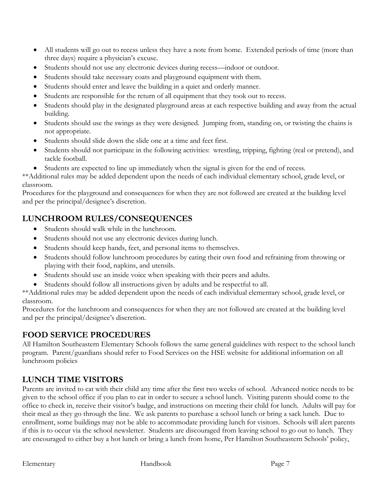- All students will go out to recess unless they have a note from home. Extended periods of time (more than three days) require a physician's excuse.
- Students should not use any electronic devices during recess—indoor or outdoor.
- Students should take necessary coats and playground equipment with them.
- Students should enter and leave the building in a quiet and orderly manner.
- Students are responsible for the return of all equipment that they took out to recess.
- Students should play in the designated playground areas at each respective building and away from the actual building.
- Students should use the swings as they were designed. Jumping from, standing on, or twisting the chains is not appropriate.
- Students should slide down the slide one at a time and feet first.
- Students should not participate in the following activities: wrestling, tripping, fighting (real or pretend), and tackle football.
- Students are expected to line up immediately when the signal is given for the end of recess.

\*\*Additional rules may be added dependent upon the needs of each individual elementary school, grade level, or classroom.

Procedures for the playground and consequences for when they are not followed are created at the building level and per the principal/designee's discretion.

# **LUNCHROOM RULES/CONSEQUENCES**

- Students should walk while in the lunchroom.
- Students should not use any electronic devices during lunch.
- Students should keep hands, feet, and personal items to themselves.
- Students should follow lunchroom procedures by eating their own food and refraining from throwing or playing with their food, napkins, and utensils.
- Students should use an inside voice when speaking with their peers and adults.
- Students should follow all instructions given by adults and be respectful to all.

\*\*Additional rules may be added dependent upon the needs of each individual elementary school, grade level, or classroom.

Procedures for the lunchroom and consequences for when they are not followed are created at the building level and per the principal/designee's discretion.

### **FOOD SERVICE PROCEDURES**

All Hamilton Southeastern Elementary Schools follows the same general guidelines with respect to the school lunch program. Parent/guardians should refer to Food Services on the HSE website for additional information on all lunchroom policies

### **LUNCH TIME VISITORS**

Parents are invited to eat with their child any time after the first two weeks of school. Advanced notice needs to be given to the school office if you plan to eat in order to secure a school lunch. Visiting parents should come to the office to check in, receive their visitor's badge, and instructions on meeting their child for lunch. Adults will pay for their meal as they go through the line. We ask parents to purchase a school lunch or bring a sack lunch. Due to enrollment, some buildings may not be able to accommodate providing lunch for visitors. Schools will alert parents if this is to occur via the school newsletter. Students are discouraged from leaving school to go out to lunch. They are encouraged to either buy a hot lunch or bring a lunch from home, Per Hamilton Southeastern Schools' policy,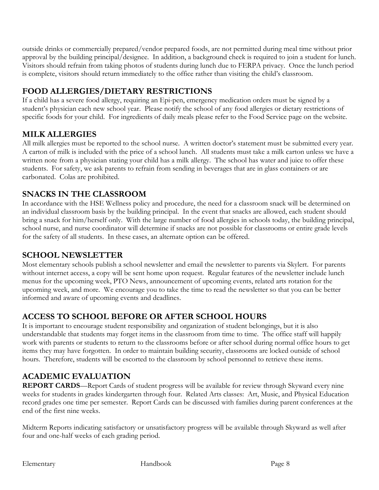outside drinks or commercially prepared/vendor prepared foods, are not permitted during meal time without prior approval by the building principal/designee. In addition, a background check is required to join a student for lunch. Visitors should refrain from taking photos of students during lunch due to FERPA privacy. Once the lunch period is complete, visitors should return immediately to the office rather than visiting the child's classroom.

# **FOOD ALLERGIES/DIETARY RESTRICTIONS**

If a child has a severe food allergy, requiring an Epi-pen, emergency medication orders must be signed by a student's physician each new school year. Please notify the school of any food allergies or dietary restrictions of specific foods for your child. For ingredients of daily meals please refer to the Food Service page on the website.

### **MILK ALLERGIES**

All milk allergies must be reported to the school nurse. A written doctor's statement must be submitted every year. A carton of milk is included with the price of a school lunch. All students must take a milk carton unless we have a written note from a physician stating your child has a milk allergy. The school has water and juice to offer these students. For safety, we ask parents to refrain from sending in beverages that are in glass containers or are carbonated. Colas are prohibited.

# **SNACKS IN THE CLASSROOM**

In accordance with the HSE Wellness policy and procedure, the need for a classroom snack will be determined on an individual classroom basis by the building principal. In the event that snacks are allowed, each student should bring a snack for him/herself only. With the large number of food allergies in schools today, the building principal, school nurse, and nurse coordinator will determine if snacks are not possible for classrooms or entire grade levels for the safety of all students. In these cases, an alternate option can be offered.

### **SCHOOL NEWSLETTER**

Most elementary schools publish a school newsletter and email the newsletter to parents via Skylert. For parents without internet access, a copy will be sent home upon request. Regular features of the newsletter include lunch menus for the upcoming week, PTO News, announcement of upcoming events, related arts rotation for the upcoming week, and more. We encourage you to take the time to read the newsletter so that you can be better informed and aware of upcoming events and deadlines.

# **ACCESS TO SCHOOL BEFORE OR AFTER SCHOOL HOURS**

It is important to encourage student responsibility and organization of student belongings, but it is also understandable that students may forget items in the classroom from time to time. The office staff will happily work with parents or students to return to the classrooms before or after school during normal office hours to get items they may have forgotten. In order to maintain building security, classrooms are locked outside of school hours. Therefore, students will be escorted to the classroom by school personnel to retrieve these items.

# **ACADEMIC EVALUATION**

**REPORT CARDS**—Report Cards of student progress will be available for review through Skyward every nine weeks for students in grades kindergarten through four. Related Arts classes: Art, Music, and Physical Education record grades one time per semester. Report Cards can be discussed with families during parent conferences at the end of the first nine weeks.

Midterm Reports indicating satisfactory or unsatisfactory progress will be available through Skyward as well after four and one-half weeks of each grading period.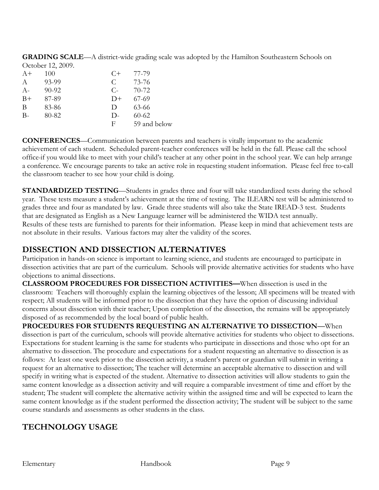**GRADING SCALE**—A district-wide grading scale was adopted by the Hamilton Southeastern Schools on October 12, 2009.

| $A+$          | 100       | $C+$       | 77-79        |
|---------------|-----------|------------|--------------|
| $\mathcal{A}$ | 93-99     | C          | 73-76        |
| $A-$          | $90 - 92$ | $C_{\tau}$ | 70-72        |
| $B+$          | 87-89     | $D+$       | $67-69$      |
| B             | 83-86     | D          | 63-66        |
| $B -$         | 80-82     | $D-$       | $60 - 62$    |
|               |           | F          | 59 and below |

**CONFERENCES**—Communication between parents and teachers is vitally important to the academic achievement of each student. Scheduled parent-teacher conferences will be held in the fall. Please call the school office if you would like to meet with your child's teacher at any other point in the school year. We can help arrange a conference. We encourage parents to take an active role in requesting student information. Please feel free to call the classroom teacher to see how your child is doing.

**STANDARDIZED TESTING—Students in grades three and four will take standardized tests during the school** year. These tests measure a student's achievement at the time of testing. The ILEARN test will be administered to grades three and four as mandated by law. Grade three students will also take the State IREAD-3 test. Students that are designated as English as a New Language learner will be administered the WIDA test annually. Results of these tests are furnished to parents for their information. Please keep in mind that achievement tests are not absolute in their results. Various factors may alter the validity of the scores.

### **DISSECTION AND DISSECTION ALTERNATIVES**

Participation in hands-on science is important to learning science, and students are encouraged to participate in dissection activities that are part of the curriculum. Schools will provide alternative activities for students who have objections to animal dissections.

**CLASSROOM PROCEDURES FOR DISSECTION ACTIVITIES—**When dissection is used in the classroom:Teachers will thoroughly explain the learning objectives of the lesson; All specimens will be treated with respect; All students will be informed prior to the dissection that they have the option of discussing individual concerns about dissection with their teacher; Upon completion of the dissection, the remains will be appropriately disposed of as recommended by the local board of public health.

**PROCEDURES FOR STUDENTS REQUESTING AN ALTERNATIVE TO DISSECTION—**When dissection is part of the curriculum, schools will provide alternative activities for students who object to dissections. Expectations for student learning is the same for students who participate in dissections and those who opt for an alternative to dissection. The procedure and expectations for a student requesting an alternative to dissection is as follows: At least one week prior to the dissection activity, a student's parent or guardian will submit in writing a request for an alternative to dissection; The teacher will determine an acceptable alternative to dissection and will specify in writing what is expected of the student. Alternative to dissection activities will allow students to gain the same content knowledge as a dissection activity and will require a comparable investment of time and effort by the student; The student will complete the alternative activity within the assigned time and will be expected to learn the same content knowledge as if the student performed the dissection activity; The student will be subject to the same course standards and assessments as other students in the class.

# **TECHNOLOGY USAGE**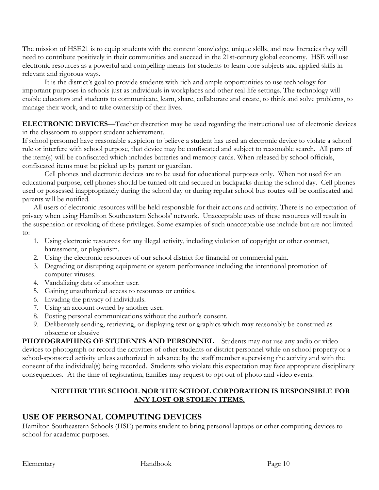The mission of HSE21 is to equip students with the content knowledge, unique skills, and new literacies they will need to contribute positively in their communities and succeed in the 21st-century global economy. HSE will use electronic resources as a powerful and compelling means for students to learn core subjects and applied skills in relevant and rigorous ways.

It is the district's goal to provide students with rich and ample opportunities to use technology for important purposes in schools just as individuals in workplaces and other real-life settings. The technology will enable educators and students to communicate, learn, share, collaborate and create, to think and solve problems, to manage their work, and to take ownership of their lives.

**ELECTRONIC DEVICES**—Teacher discretion may be used regarding the instructional use of electronic devices in the classroom to support student achievement.

If school personnel have reasonable suspicion to believe a student has used an electronic device to violate a school rule or interfere with school purpose, that device may be confiscated and subject to reasonable search. All parts of the item(s) will be confiscated which includes batteries and memory cards. When released by school officials, confiscated items must be picked up by parent or guardian.

Cell phones and electronic devices are to be used for educational purposes only. When not used for an educational purpose, cell phones should be turned off and secured in backpacks during the school day. Cell phones used or possessed inappropriately during the school day or during regular school bus routes will be confiscated and parents will be notified.

All users of electronic resources will be held responsible for their actions and activity. There is no expectation of privacy when using Hamilton Southeastern Schools' network. Unacceptable uses of these resources will result in the suspension or revoking of these privileges. Some examples of such unacceptable use include but are not limited to:

- 1. Using electronic resources for any illegal activity, including violation of copyright or other contract, harassment, or plagiarism.
- 2. Using the electronic resources of our school district for financial or commercial gain.
- 3. Degrading or disrupting equipment or system performance including the intentional promotion of computer viruses.
- 4. Vandalizing data of another user.
- 5. Gaining unauthorized access to resources or entities.
- 6. Invading the privacy of individuals.
- 7. Using an account owned by another user.
- 8. Posting personal communications without the author's consent.
- 9. Deliberately sending, retrieving, or displaying text or graphics which may reasonably be construed as obscene or abusive

**PHOTOGRAPHING OF STUDENTS AND PERSONNEL**—Students may not use any audio or video devices to photograph or record the activities of other students or district personnel while on school property or a school-sponsored activity unless authorized in advance by the staff member supervising the activity and with the consent of the individual(s) being recorded. Students who violate this expectation may face appropriate disciplinary consequences. At the time of registration, families may request to opt out of photo and video events.

#### **NEITHER THE SCHOOL NOR THE SCHOOL CORPORATION IS RESPONSIBLE FOR ANY LOST OR STOLEN ITEMS.**

### **USE OF PERSONAL COMPUTING DEVICES**

Hamilton Southeastern Schools (HSE) permits student to bring personal laptops or other computing devices to school for academic purposes.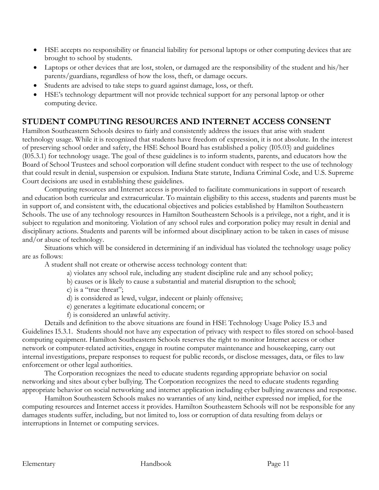- HSE accepts no responsibility or financial liability for personal laptops or other computing devices that are brought to school by students.
- Laptops or other devices that are lost, stolen, or damaged are the responsibility of the student and his/her parents/guardians, regardless of how the loss, theft, or damage occurs.
- Students are advised to take steps to guard against damage, loss, or theft.
- HSE's technology department will not provide technical support for any personal laptop or other computing device.

# **STUDENT COMPUTING RESOURCES AND INTERNET ACCESS CONSENT**

Hamilton Southeastern Schools desires to fairly and consistently address the issues that arise with student technology usage. While it is recognized that students have freedom of expression, it is not absolute. In the interest of preserving school order and safety, the HSE School Board has established a policy (I05.03) and guidelines (I05.3.1) for technology usage. The goal of these guidelines is to inform students, parents, and educators how the Board of School Trustees and school corporation will define student conduct with respect to the use of technology that could result in denial, suspension or expulsion. Indiana State statute, Indiana Criminal Code, and U.S. Supreme Court decisions are used in establishing these guidelines.

Computing resources and Internet access is provided to facilitate communications in support of research and education both curricular and extracurricular. To maintain eligibility to this access, students and parents must be in support of, and consistent with, the educational objectives and policies established by Hamilton Southeastern Schools. The use of any technology resources in Hamilton Southeastern Schools is a privilege, not a right, and it is subject to regulation and monitoring. Violation of any school rules and corporation policy may result in denial and disciplinary actions. Students and parents will be informed about disciplinary action to be taken in cases of misuse and/or abuse of technology.

Situations which will be considered in determining if an individual has violated the technology usage policy are as follows:

A student shall not create or otherwise access technology content that:

- a) violates any school rule, including any student discipline rule and any school policy;
- b) causes or is likely to cause a substantial and material disruption to the school;
- c) is a "true threat";
- d) is considered as lewd, vulgar, indecent or plainly offensive;
- e) generates a legitimate educational concern; or
- f) is considered an unlawful activity.

Details and definition to the above situations are found in HSE Technology Usage Policy I5.3 and Guidelines I5.3.1. Students should not have any expectation of privacy with respect to files stored on school-based computing equipment. Hamilton Southeastern Schools reserves the right to monitor Internet access or other network or computer-related activities, engage in routine computer maintenance and housekeeping, carry out internal investigations, prepare responses to request for public records, or disclose messages, data, or files to law enforcement or other legal authorities.

The Corporation recognizes the need to educate students regarding appropriate behavior on social networking and sites about cyber bullying. The Corporation recognizes the need to educate students regarding appropriate behavior on social networking and internet application including cyber bullying awareness and response.

Hamilton Southeastern Schools makes no warranties of any kind, neither expressed nor implied, for the computing resources and Internet access it provides. Hamilton Southeastern Schools will not be responsible for any damages students suffer, including, but not limited to, loss or corruption of data resulting from delays or interruptions in Internet or computing services.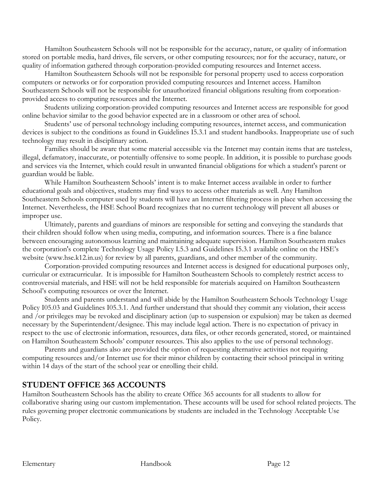Hamilton Southeastern Schools will not be responsible for the accuracy, nature, or quality of information stored on portable media, hard drives, file servers, or other computing resources; nor for the accuracy, nature, or quality of information gathered through corporation-provided computing resources and Internet access.

Hamilton Southeastern Schools will not be responsible for personal property used to access corporation computers or networks or for corporation provided computing resources and Internet access. Hamilton Southeastern Schools will not be responsible for unauthorized financial obligations resulting from corporationprovided access to computing resources and the Internet.

Students utilizing corporation-provided computing resources and Internet access are responsible for good online behavior similar to the good behavior expected are in a classroom or other area of school.

Students' use of personal technology including computing resources, internet access, and communication devices is subject to the conditions as found in Guidelines I5.3.1 and student handbooks. Inappropriate use of such technology may result in disciplinary action.

Families should be aware that some material accessible via the Internet may contain items that are tasteless, illegal, defamatory, inaccurate, or potentially offensive to some people. In addition, it is possible to purchase goods and services via the Internet, which could result in unwanted financial obligations for which a student's parent or guardian would be liable.

While Hamilton Southeastern Schools' intent is to make Internet access available in order to further educational goals and objectives, students may find ways to access other materials as well. Any Hamilton Southeastern Schools computer used by students will have an Internet filtering process in place when accessing the Internet. Nevertheless, the HSE School Board recognizes that no current technology will prevent all abuses or improper use.

Ultimately, parents and guardians of minors are responsible for setting and conveying the standards that their children should follow when using media, computing, and information sources. There is a fine balance between encouraging autonomous learning and maintaining adequate supervision. Hamilton Southeastern makes the corporation's complete Technology Usage Policy I.5.3 and Guidelines I5.3.1 available online on the HSE's website (www.hse.k12.in.us) for review by all parents, guardians, and other member of the community.

Corporation-provided computing resources and Internet access is designed for educational purposes only, curricular or extracurricular. It is impossible for Hamilton Southeastern Schools to completely restrict access to controversial materials, and HSE will not be held responsible for materials acquired on Hamilton Southeastern School's computing resources or over the Internet.

Students and parents understand and will abide by the Hamilton Southeastern Schools Technology Usage Policy I05.03 and Guidelines I05.3.1. And further understand that should they commit any violation, their access and /or privileges may be revoked and disciplinary action (up to suspension or expulsion) may be taken as deemed necessary by the Superintendent/designee. This may include legal action. There is no expectation of privacy in respect to the use of electronic information, resources, data files, or other records generated, stored, or maintained on Hamilton Southeastern Schools' computer resources. This also applies to the use of personal technology.

Parents and guardians also are provided the option of requesting alternative activities not requiring computing resources and/or Internet use for their minor children by contacting their school principal in writing within 14 days of the start of the school year or enrolling their child.

### **STUDENT OFFICE 365 ACCOUNTS**

Hamilton Southeastern Schools has the ability to create Office 365 accounts for all students to allow for collaborative sharing using our custom implementation. These accounts will be used for school related projects. The rules governing proper electronic communications by students are included in the Technology Acceptable Use Policy.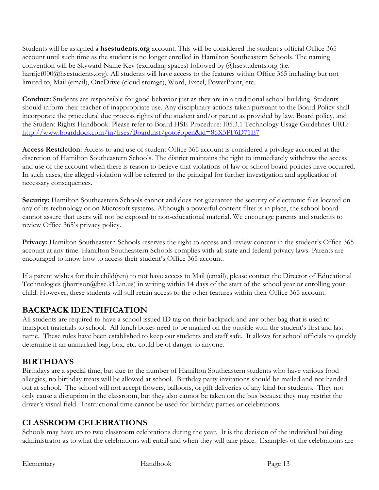Students will be assigned a **hsestudents.org** account. This will be considered the student's official Office 365 account until such time as the student is no longer enrolled in Hamilton Southeastern Schools. The naming convention will be Skyward Name Key (excluding spaces) followed by @hsestudents.org (i.e. harrijef000@hsestudents.org). All students will have access to the features within Office 365 including but not limited to, Mail (email), OneDrive (cloud storage), Word, Excel, PowerPoint, etc.

**Conduct:** Students are responsible for good behavior just as they are in a traditional school building. Students should inform their teacher of inappropriate use. Any disciplinary actions taken pursuant to the Board Policy shall incorporate the procedural due process rights of the student and/or parent as provided by law, Board policy, and the Student Rights Handbook. Please refer to Board HSE Procedure: I05.3.1 Technology Usage Guidelines URL: <http://www.boarddocs.com/in/hses/Board.nsf/goto?open&id=86X5PF6D71E7>

**Access Restriction:** Access to and use of student Office 365 account is considered a privilege accorded at the discretion of Hamilton Southeastern Schools. The district maintains the right to immediately withdraw the access and use of the account when there is reason to believe that violations of law or school board policies have occurred. In such cases, the alleged violation will be referred to the principal for further investigation and application of necessary consequences.

**Security:** Hamilton Southeastern Schools cannot and does not guarantee the security of electronic files located on any of its technology or on Microsoft systems. Although a powerful content filter is in place, the school board cannot assure that users will not be exposed to non-educational material. We encourage parents and students to review Office 365's privacy policy.

**Privacy:** Hamilton Southeastern Schools reserves the right to access and review content in the student's Office 365 account at any time. Hamilton Southeastern Schools complies with all state and federal privacy laws. Parents are encouraged to know how to access their student's Office 365 account.

If a parent wishes for their child(ren) to not have access to Mail (email), please contact the Director of Educational Technologies (jharrison@hse.k12.in.us) in writing within 14 days of the start of the school year or enrolling your child. However, these students will still retain access to the other features within their Office 365 account.

# **BACKPACK IDENTIFICATION**

All students are required to have a school issued ID tag on their backpack and any other bag that is used to transport materials to school. All lunch boxes need to be marked on the outside with the student's first and last name. These rules have been established to keep our students and staff safe. It allows for school officials to quickly determine if an unmarked bag, box, etc. could be of danger to anyone.

# **BIRTHDAYS**

Birthdays are a special time, but due to the number of Hamilton Southeastern students who have various food allergies, no birthday treats will be allowed at school. Birthday party invitations should be mailed and not handed out at school. The school will not accept flowers, balloons, or gift deliveries of any kind for students. They not only cause a disruption in the classroom, but they also cannot be taken on the bus because they may restrict the driver's visual field. Instructional time cannot be used for birthday parties or celebrations.

### **CLASSROOM CELEBRATIONS**

Schools may have up to two classroom celebrations during the year. It is the decision of the individual building administrator as to what the celebrations will entail and when they will take place. Examples of the celebrations are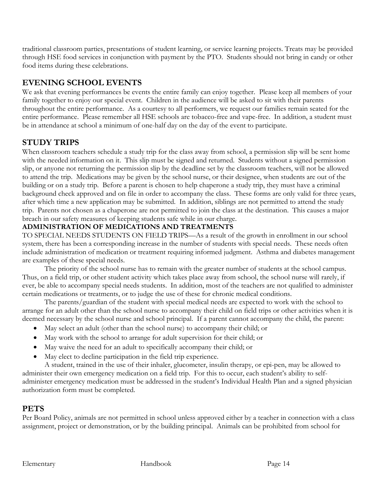traditional classroom parties, presentations of student learning, or service learning projects. Treats may be provided through HSE food services in conjunction with payment by the PTO. Students should not bring in candy or other food items during these celebrations.

# **EVENING SCHOOL EVENTS**

We ask that evening performances be events the entire family can enjoy together. Please keep all members of your family together to enjoy our special event. Children in the audience will be asked to sit with their parents throughout the entire performance. As a courtesy to all performers, we request our families remain seated for the entire performance. Please remember all HSE schools are tobacco-free and vape-free. In addition, a student must be in attendance at school a minimum of one-half day on the day of the event to participate.

# **STUDY TRIPS**

When classroom teachers schedule a study trip for the class away from school, a permission slip will be sent home with the needed information on it. This slip must be signed and returned. Students without a signed permission slip, or anyone not returning the permission slip by the deadline set by the classroom teachers, will not be allowed to attend the trip. Medications may be given by the school nurse, or their designee, when students are out of the building or on a study trip. Before a parent is chosen to help chaperone a study trip, they must have a criminal background check approved and on file in order to accompany the class. These forms are only valid for three years, after which time a new application may be submitted. In addition, siblings are not permitted to attend the study trip. Parents not chosen as a chaperone are not permitted to join the class at the destination. This causes a major breach in our safety measures of keeping students safe while in our charge.

### **ADMINISTRATION OF MEDICATIONS AND TREATMENTS**

TO SPECIAL NEEDS STUDENTS ON FIELD TRIPS—As a result of the growth in enrollment in our school system, there has been a corresponding increase in the number of students with special needs. These needs often include administration of medication or treatment requiring informed judgment. Asthma and diabetes management are examples of these special needs.

The priority of the school nurse has to remain with the greater number of students at the school campus. Thus, on a field trip, or other student activity which takes place away from school, the school nurse will rarely, if ever, be able to accompany special needs students. In addition, most of the teachers are not qualified to administer certain medications or treatments, or to judge the use of these for chronic medical conditions.

The parents/guardian of the student with special medical needs are expected to work with the school to arrange for an adult other than the school nurse to accompany their child on field trips or other activities when it is deemed necessary by the school nurse and school principal. If a parent cannot accompany the child, the parent:

- May select an adult (other than the school nurse) to accompany their child; or
- May work with the school to arrange for adult supervision for their child; or
- May waive the need for an adult to specifically accompany their child; or
- May elect to decline participation in the field trip experience.

A student, trained in the use of their inhaler, glucometer, insulin therapy, or epi-pen, may be allowed to administer their own emergency medication on a field trip. For this to occur, each student's ability to selfadminister emergency medication must be addressed in the student's Individual Health Plan and a signed physician authorization form must be completed.

### **PETS**

Per Board Policy, animals are not permitted in school unless approved either by a teacher in connection with a class assignment, project or demonstration, or by the building principal. Animals can be prohibited from school for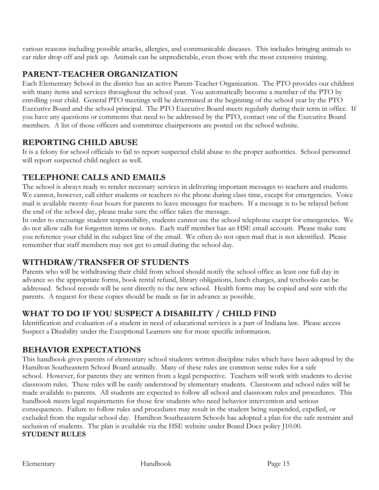various reasons including possible attacks, allergies, and communicable diseases. This includes bringing animals to car rider drop off and pick up. Animals can be unpredictable, even those with the most extensive training.

### **PARENT-TEACHER ORGANIZATION**

Each Elementary School in the district has an active Parent-Teacher Organization. The PTO provides our children with many items and services throughout the school year. You automatically become a member of the PTO by enrolling your child. General PTO meetings will be determined at the beginning of the school year by the PTO Executive Board and the school principal. The PTO Executive Board meets regularly during their term in office. If you have any questions or comments that need to be addressed by the PTO, contact one of the Executive Board members. A list of those officers and committee chairpersons are posted on the school website.

### **REPORTING CHILD ABUSE**

It is a felony for school officials to fail to report suspected child abuse to the proper authorities. School personnel will report suspected child neglect as well.

### **TELEPHONE CALLS AND EMAILS**

The school is always ready to render necessary services in delivering important messages to teachers and students. We cannot, however, call either students or teachers to the phone during class time, except for emergencies. Voice mail is available twenty-four hours for parents to leave messages for teachers. If a message is to be relayed before the end of the school day, please make sure the office takes the message.

In order to encourage student responsibility, students cannot use the school telephone except for emergencies. We do not allow calls for forgotten items or notes. Each staff member has an HSE email account. Please make sure you reference your child in the subject line of the email. We often do not open mail that is not identified. Please remember that staff members may not get to email during the school day.

# **WITHDRAW/TRANSFER OF STUDENTS**

Parents who will be withdrawing their child from school should notify the school office as least one full day in advance so the appropriate forms, book rental refund, library obligations, lunch charges, and textbooks can be addressed. School records will be sent directly to the new school. Health forms may be copied and sent with the parents. A request for these copies should be made as far in advance as possible.

# **WHAT TO DO IF YOU SUSPECT A DISABILITY / CHILD FIND**

Identification and evaluation of a student in need of educational services is a part of Indiana law. Please access Suspect a Disability under the Exceptional Learners site for more specific information.

# **BEHAVIOR EXPECTATIONS**

This handbook gives parents of elementary school students written discipline rules which have been adopted by the Hamilton Southeastern School Board annually. Many of these rules are common sense rules for a safe school. However, for parents they are written from a legal perspective. Teachers will work with students to devise classroom rules. These rules will be easily understood by elementary students. Classroom and school rules will be made available to parents. All students are expected to follow all school and classroom rules and procedures. This handbook meets legal requirements for those few students who need behavior intervention and serious consequences. Failure to follow rules and procedures may result in the student being suspended, expelled, or excluded from the regular school day. Hamilton Southeastern Schools has adopted a plan for the safe restraint and seclusion of students. The plan is available via the HSE website under Board Docs policy J10.00. **STUDENT RULES**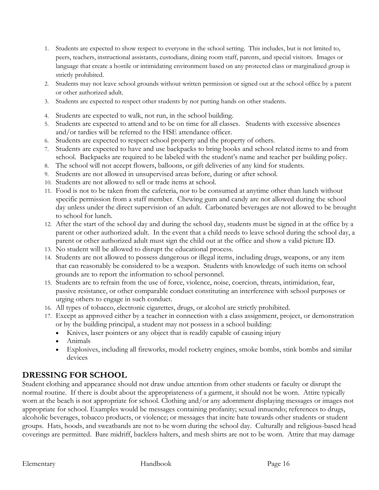- 1. Students are expected to show respect to everyone in the school setting. This includes, but is not limited to, peers, teachers, instructional assistants, custodians, dining room staff, parents, and special visitors. Images or language that create a hostile or intimidating environment based on any protected class or marginalized group is strictly prohibited.
- 2. Students may not leave school grounds without written permission or signed out at the school office by a parent or other authorized adult.
- 3. Students are expected to respect other students by not putting hands on other students.
- 4. Students are expected to walk, not run, in the school building.
- 5. Students are expected to attend and to be on time for all classes. Students with excessive absences and/or tardies will be referred to the HSE attendance officer.
- 6. Students are expected to respect school property and the property of others.
- 7. Students are expected to have and use backpacks to bring books and school related items to and from school. Backpacks are required to be labeled with the student's name and teacher per building policy.
- 8. The school will not accept flowers, balloons, or gift deliveries of any kind for students.
- 9. Students are not allowed in unsupervised areas before, during or after school.
- 10. Students are not allowed to sell or trade items at school.
- 11. Food is not to be taken from the cafeteria, nor to be consumed at anytime other than lunch without specific permission from a staff member. Chewing gum and candy are not allowed during the school day unless under the direct supervision of an adult. Carbonated beverages are not allowed to be brought to school for lunch.
- 12. After the start of the school day and during the school day, students must be signed in at the office by a parent or other authorized adult. In the event that a child needs to leave school during the school day, a parent or other authorized adult must sign the child out at the office and show a valid picture ID.
- 13. No student will be allowed to disrupt the educational process.
- 14. Students are not allowed to possess dangerous or illegal items, including drugs, weapons, or any item that can reasonably be considered to be a weapon. Students with knowledge of such items on school grounds are to report the information to school personnel.
- 15. Students are to refrain from the use of force, violence, noise, coercion, threats, intimidation, fear, passive resistance, or other comparable conduct constituting an interference with school purposes or urging others to engage in such conduct.
- 16. All types of tobacco, electronic cigarettes, drugs, or alcohol are strictly prohibited.
- 17. Except as approved either by a teacher in connection with a class assignment, project, or demonstration or by the building principal, a student may not possess in a school building:
	- Knives, laser pointers or any object that is readily capable of causing injury
	- Animals
	- Explosives, including all fireworks, model rocketry engines, smoke bombs, stink bombs and similar devices

# **DRESSING FOR SCHOOL**

Student clothing and appearance should not draw undue attention from other students or faculty or disrupt the normal routine. If there is doubt about the appropriateness of a garment, it should not be worn. Attire typically worn at the beach is not appropriate for school. Clothing and/or any adornment displaying messages or images not appropriate for school. Examples would be messages containing profanity; sexual innuendo; references to drugs, alcoholic beverages, tobacco products, or violence; or messages that incite hate towards other students or student groups. Hats, hoods, and sweatbands are not to be worn during the school day. Culturally and religious-based head coverings are permitted. Bare midriff, backless halters, and mesh shirts are not to be worn. Attire that may damage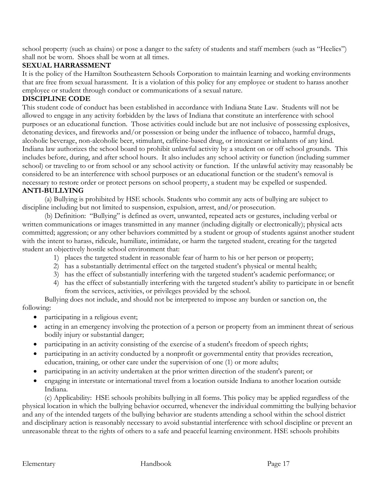school property (such as chains) or pose a danger to the safety of students and staff members (such as "Heelies") shall not be worn. Shoes shall be worn at all times.

#### **SEXUAL HARRASSMENT**

It is the policy of the Hamilton Southeastern Schools Corporation to maintain learning and working environments that are free from sexual harassment. It is a violation of this policy for any employee or student to harass another employee or student through conduct or communications of a sexual nature.

#### **DISCIPLINE CODE**

This student code of conduct has been established in accordance with Indiana State Law. Students will not be allowed to engage in any activity forbidden by the laws of Indiana that constitute an interference with school purposes or an educational function. Those activities could include but are not inclusive of possessing explosives, detonating devices, and fireworks and/or possession or being under the influence of tobacco, harmful drugs, alcoholic beverage, non-alcoholic beer, stimulant, caffeine-based drug, or intoxicant or inhalants of any kind. Indiana law authorizes the school board to prohibit unlawful activity by a student on or off school grounds. This includes before, during, and after school hours. It also includes any school activity or function (including summer school) or traveling to or from school or any school activity or function. If the unlawful activity may reasonably be considered to be an interference with school purposes or an educational function or the student's removal is necessary to restore order or protect persons on school property, a student may be expelled or suspended. **ANTI-BULLYING**

(a) Bullying is prohibited by HSE schools. Students who commit any acts of bullying are subject to discipline including but not limited to suspension, expulsion, arrest, and/or prosecution.

(b) Definition: "Bullying" is defined as overt, unwanted, repeated acts or gestures, including verbal or written communications or images transmitted in any manner (including digitally or electronically); physical acts committed; aggression; or any other behaviors committed by a student or group of students against another student with the intent to harass, ridicule, humiliate, intimidate, or harm the targeted student, creating for the targeted student an objectively hostile school environment that:

- 1) places the targeted student in reasonable fear of harm to his or her person or property;
- 2) has a substantially detrimental effect on the targeted student's physical or mental health;
- 3) has the effect of substantially interfering with the targeted student's academic performance; or
- 4) has the effect of substantially interfering with the targeted student's ability to participate in or benefit from the services, activities, or privileges provided by the school.

Bullying does not include, and should not be interpreted to impose any burden or sanction on, the following:

- participating in a religious event;
- acting in an emergency involving the protection of a person or property from an imminent threat of serious bodily injury or substantial danger;
- participating in an activity consisting of the exercise of a student's freedom of speech rights;
- participating in an activity conducted by a nonprofit or governmental entity that provides recreation, education, training, or other care under the supervision of one (1) or more adults;
- participating in an activity undertaken at the prior written direction of the student's parent; or
- engaging in interstate or international travel from a location outside Indiana to another location outside Indiana.

(c) Applicability: HSE schools prohibits bullying in all forms. This policy may be applied regardless of the physical location in which the bullying behavior occurred, whenever the individual committing the bullying behavior and any of the intended targets of the bullying behavior are students attending a school within the school district and disciplinary action is reasonably necessary to avoid substantial interference with school discipline or prevent an unreasonable threat to the rights of others to a safe and peaceful learning environment. HSE schools prohibits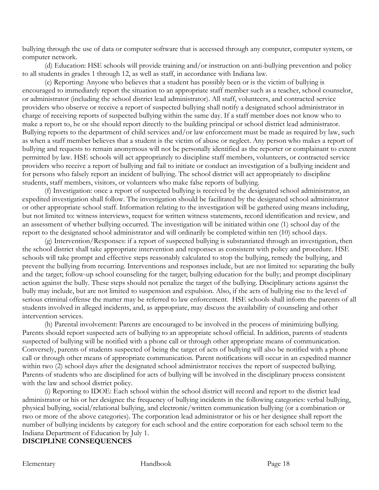bullying through the use of data or computer software that is accessed through any computer, computer system, or computer network.

(d) Education: HSE schools will provide training and/or instruction on anti-bullying prevention and policy to all students in grades 1 through 12, as well as staff, in accordance with Indiana law.

(e) Reporting: Anyone who believes that a student has possibly been or is the victim of bullying is encouraged to immediately report the situation to an appropriate staff member such as a teacher, school counselor, or administrator (including the school district lead administrator). All staff, volunteers, and contracted service providers who observe or receive a report of suspected bullying shall notify a designated school administrator in charge of receiving reports of suspected bullying within the same day. If a staff member does not know who to make a report to, he or she should report directly to the building principal or school district lead administrator. Bullying reports to the department of child services and/or law enforcement must be made as required by law, such as when a staff member believes that a student is the victim of abuse or neglect. Any person who makes a report of bullying and requests to remain anonymous will not be personally identified as the reporter or complainant to extent permitted by law. HSE schools will act appropriately to discipline staff members, volunteers, or contracted service providers who receive a report of bullying and fail to initiate or conduct an investigation of a bullying incident and for persons who falsely report an incident of bullying. The school district will act appropriately to discipline students, staff members, visitors, or volunteers who make false reports of bullying.

(f) Investigation: once a report of suspected bullying is received by the designated school administrator, an expedited investigation shall follow. The investigation should be facilitated by the designated school administrator or other appropriate school staff. Information relating to the investigation will be gathered using means including, but not limited to: witness interviews, request for written witness statements, record identification and review, and an assessment of whether bullying occurred. The investigation will be initiated within one (1) school day of the report to the designated school administrator and will ordinarily be completed within ten (10) school days.

(g) Intervention/Responses: if a report of suspected bullying is substantiated through an investigation, then the school district shall take appropriate intervention and responses as consistent with policy and procedure. HSE schools will take prompt and effective steps reasonably calculated to stop the bullying, remedy the bullying, and prevent the bullying from recurring. Interventions and responses include, but are not limited to: separating the bully and the target; follow-up school counseling for the target; bullying education for the bully; and prompt disciplinary action against the bully. These steps should not penalize the target of the bullying. Disciplinary actions against the bully may include, but are not limited to suspension and expulsion. Also, if the acts of bullying rise to the level of serious criminal offense the matter may be referred to law enforcement. HSE schools shall inform the parents of all students involved in alleged incidents, and, as appropriate, may discuss the availability of counseling and other intervention services.

(h) Parental involvement: Parents are encouraged to be involved in the process of minimizing bullying. Parents should report suspected acts of bullying to an appropriate school official. In addition, parents of students suspected of bullying will be notified with a phone call or through other appropriate means of communication. Conversely, parents of students suspected of being the target of acts of bullying will also be notified with a phone call or through other means of appropriate communication. Parent notifications will occur in an expedited manner within two (2) school days after the designated school administrator receives the report of suspected bullying. Parents of students who are disciplined for acts of bullying will be involved in the disciplinary process consistent with the law and school district policy.

(i) Reporting to IDOE: Each school within the school district will record and report to the district lead administrator or his or her designee the frequency of bullying incidents in the following categories: verbal bullying, physical bullying, social/relational bullying, and electronic/written communication bullying (or a combination or two or more of the above categories). The corporation lead administrator or his or her designee shall report the number of bullying incidents by category for each school and the entire corporation for each school term to the Indiana Department of Education by July 1.

#### **DISCIPLINE CONSEQUENCES**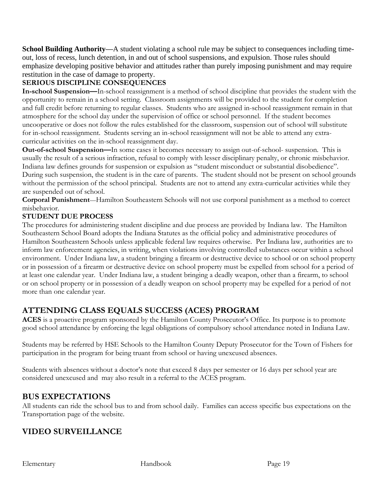**School Building Authority—**A student violating a school rule may be subject to consequences including timeout, loss of recess, lunch detention, in and out of school suspensions, and expulsion. Those rules should emphasize developing positive behavior and attitudes rather than purely imposing punishment and may require restitution in the case of damage to property.

### **SERIOUS DISCIPLINE CONSEQUENCES**

**In-school Suspension—**In-school reassignment is a method of school discipline that provides the student with the opportunity to remain in a school setting. Classroom assignments will be provided to the student for completion and full credit before returning to regular classes. Students who are assigned in-school reassignment remain in that atmosphere for the school day under the supervision of office or school personnel. If the student becomes uncooperative or does not follow the rules established for the classroom, suspension out of school will substitute for in-school reassignment. Students serving an in-school reassignment will not be able to attend any extracurricular activities on the in-school reassignment day.

**Out-of-school Suspension—**In some cases it becomes necessary to assign out-of-school- suspension. This is usually the result of a serious infraction, refusal to comply with lesser disciplinary penalty, or chronic misbehavior. Indiana law defines grounds for suspension or expulsion as "student misconduct or substantial disobedience". During such suspension, the student is in the care of parents. The student should not be present on school grounds without the permission of the school principal. Students are not to attend any extra-curricular activities while they are suspended out of school.

**Corporal Punishment**—Hamilton Southeastern Schools will not use corporal punishment as a method to correct misbehavior.

### **STUDENT DUE PROCESS**

The procedures for administering student discipline and due process are provided by Indiana law. The Hamilton Southeastern School Board adopts the Indiana Statutes as the official policy and administrative procedures of Hamilton Southeastern Schools unless applicable federal law requires otherwise. Per Indiana law, authorities are to inform law enforcement agencies, in writing, when violations involving controlled substances occur within a school environment. Under Indiana law, a student bringing a firearm or destructive device to school or on school property or in possession of a firearm or destructive device on school property must be expelled from school for a period of at least one calendar year. Under Indiana law, a student bringing a deadly weapon, other than a firearm, to school or on school property or in possession of a deadly weapon on school property may be expelled for a period of not more than one calendar year.

# **ATTENDING CLASS EQUALS SUCCESS (ACES) PROGRAM**

**ACES** is a proactive program sponsored by the Hamilton County Prosecutor's Office. Its purpose is to promote good school attendance by enforcing the legal obligations of compulsory school attendance noted in Indiana Law.

Students may be referred by HSE Schools to the Hamilton County Deputy Prosecutor for the Town of Fishers for participation in the program for being truant from school or having unexcused absences.

Students with absences without a doctor's note that exceed 8 days per semester or 16 days per school year are considered unexcused and may also result in a referral to the ACES program.

### **BUS EXPECTATIONS**

All students can ride the school bus to and from school daily. Families can access specific bus expectations on the Transportation page of the website.

# **VIDEO SURVEILLANCE**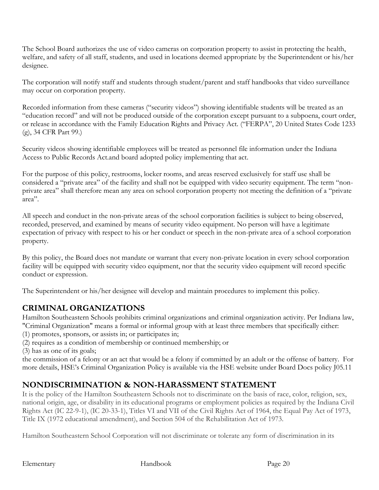The School Board authorizes the use of video cameras on corporation property to assist in protecting the health, welfare, and safety of all staff, students, and used in locations deemed appropriate by the Superintendent or his/her designee.

The corporation will notify staff and students through student/parent and staff handbooks that video surveillance may occur on corporation property.

Recorded information from these cameras ("security videos") showing identifiable students will be treated as an "education record" and will not be produced outside of the corporation except pursuant to a subpoena, court order, or release in accordance with the Family Education Rights and Privacy Act. ("FERPA", 20 United States Code 1233 (g), 34 CFR Part 99.)

Security videos showing identifiable employees will be treated as personnel file information under the Indiana Access to Public Records Act.and board adopted policy implementing that act.

For the purpose of this policy, restrooms, locker rooms, and areas reserved exclusively for staff use shall be considered a "private area" of the facility and shall not be equipped with video security equipment. The term "nonprivate area" shall therefore mean any area on school corporation property not meeting the definition of a "private area".

All speech and conduct in the non-private areas of the school corporation facilities is subject to being observed, recorded, preserved, and examined by means of security video equipment. No person will have a legitimate expectation of privacy with respect to his or her conduct or speech in the non-private area of a school corporation property.

By this policy, the Board does not mandate or warrant that every non-private location in every school corporation facility will be equipped with security video equipment, nor that the security video equipment will record specific conduct or expression.

The Superintendent or his/her designee will develop and maintain procedures to implement this policy.

# **CRIMINAL ORGANIZATIONS**

Hamilton Southeastern Schools prohibits criminal organizations and criminal organization activity. Per Indiana law, "Criminal Organization" means a formal or informal group with at least three members that specifically either:

- (1) promotes, sponsors, or assists in; or participates in;
- (2) requires as a condition of membership or continued membership; or

(3) has as one of its goals;

the commission of a felony or an act that would be a felony if committed by an adult or the offense of battery. For more details, HSE's Criminal Organization Policy is available via the HSE website under Board Docs policy J05.11

# **NONDISCRIMINATION & NON-HARASSMENT STATEMENT**

It is the policy of the Hamilton Southeastern Schools not to discriminate on the basis of race, color, religion, sex, national origin, age, or disability in its educational programs or employment policies as required by the Indiana Civil Rights Act (IC 22-9-1), (IC 20-33-1), Titles VI and VII of the Civil Rights Act of 1964, the Equal Pay Act of 1973, Title IX (1972 educational amendment), and Section 504 of the Rehabilitation Act of 1973.

Hamilton Southeastern School Corporation will not discriminate or tolerate any form of discrimination in its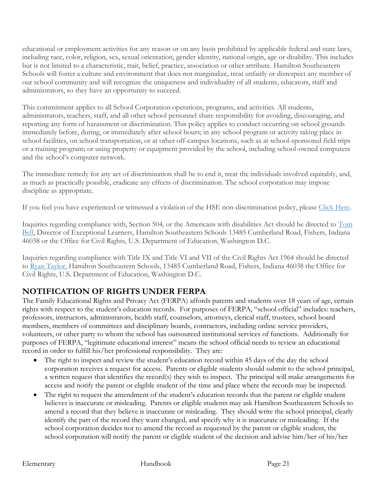educational or employment activities for any reason or on any basis prohibited by applicable federal and state laws, including race, color, religion, sex, sexual orientation, gender identity, national origin, age or disability. This includes but is not limited to a characteristic, trait, belief, practice, association or other attribute. Hamilton Southeastern Schools will foster a culture and environment that does not marginalize, treat unfairly or disrespect any member of our school community and will recognize the uniqueness and individuality of all students, educators, staff and administrators, so they have an opportunity to succeed.

This commitment applies to all School Corporation operations, programs, and activities. All students, administrators, teachers, staff, and all other school personnel share responsibility for avoiding, discouraging, and reporting any form of harassment or discrimination. This policy applies to conduct occurring on school grounds immediately before, during, or immediately after school hours; in any school program or activity taking place in school facilities, on school transportation, or at other off-campus locations, such as at school-sponsored field trips or a training program; or using property or equipment provided by the school, including school-owned computers and the school's computer network.

The immediate remedy for any act of discrimination shall be to end it, treat the individuals involved equitably, and, as much as practically possible, eradicate any effects of discrimination. The school corporation may impose discipline as appropriate.

If you feel you have experienced or witnessed a violation of the HSE non-discrimination policy, please [Click Here.](https://www.hseschools.org/services/equity-inclusion/non-discrimination-non-harassment-statement-proced)

Inquiries regarding compliance with, Section 504, or the Americans with disabilities Act should be directed to [Tom](mailto:tbell@hse.k12.in.us)  [Bell,](mailto:tbell@hse.k12.in.us) Director of Exceptional Learners, Hamilton Southeastern Schools 13485 Cumberland Road, Fishers, Indiana 46038 or the Office for Civil Rights, U.S. Department of Education, Washington D.C.

Inquiries regarding compliance with Title IX and Title VI and VII of the Civil Rights Act 1964 should be directed to [Ryan Taylor,](mailto:rtaylor@hse.k12.in.us) Hamilton Southeastern Schools, 13485 Cumberland Road, Fishers, Indiana 46038 the Office for Civil Rights, U.S. Department of Education, Washington D.C.

# **NOTIFICATION OF RIGHTS UNDER FERPA**

The Family Educational Rights and Privacy Act (FERPA) affords parents and students over 18 years of age, certain rights with respect to the student's education records. For purposes of FERPA, "school official" includes: teachers, professors, instructors, administrators, health staff, counselors, attorneys, clerical staff, trustees, school board members, members of committees and disciplinary boards, contractors, including online service providers, volunteers, or other party to whom the school has outsourced institutional services of functions. Additionally for purposes of FERPA, "legitimate educational interest" means the school official needs to review an educational record in order to fulfill his/her professional responsibility. They are:

- The right to inspect and review the student's education record within 45 days of the day the school corporation receives a request for access. Parents or eligible students should submit to the school principal, a written request that identifies the record(s) they wish to inspect. The principal will make arrangements for access and notify the parent or eligible student of the time and place where the records may be inspected.
- The right to request the amendment of the student's education records that the parent or eligible student believes is inaccurate or misleading. Parents or eligible students may ask Hamilton Southeastern Schools to amend a record that they believe is inaccurate or misleading. They should write the school principal, clearly identify the part of the record they want changed, and specify why it is inaccurate or misleading. If the school corporation decides not to amend the record as requested by the parent or eligible student, the school corporation will notify the parent or eligible student of the decision and advise him/her of his/her